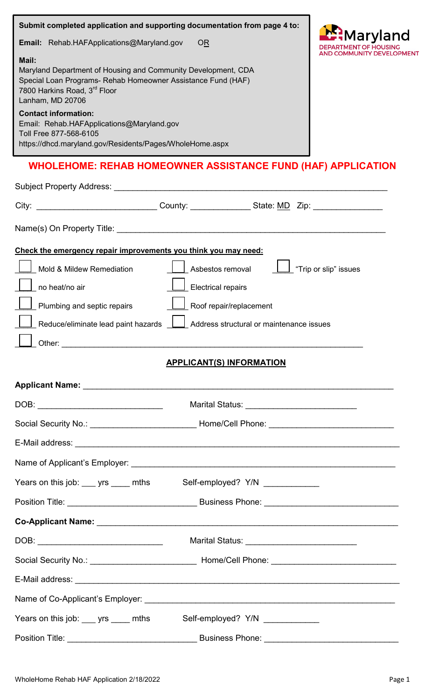| Submit completed application and supporting documentation from page 4 to:                                                                                                                                                                                                                                                                                    |                                                                                                           | 1aryland              |
|--------------------------------------------------------------------------------------------------------------------------------------------------------------------------------------------------------------------------------------------------------------------------------------------------------------------------------------------------------------|-----------------------------------------------------------------------------------------------------------|-----------------------|
| <b>Email:</b> Rehab.HAFApplications@Maryland.gov                                                                                                                                                                                                                                                                                                             | <b>OR</b>                                                                                                 | COMMUNITY DEVELOPMENT |
| Mail:<br>Maryland Department of Housing and Community Development, CDA<br>Special Loan Programs- Rehab Homeowner Assistance Fund (HAF)<br>7800 Harkins Road, 3rd Floor<br>Lanham, MD 20706<br><b>Contact information:</b><br>Email: Rehab.HAFApplications@Maryland.gov<br>Toll Free 877-568-6105<br>https://dhcd.maryland.gov/Residents/Pages/WholeHome.aspx |                                                                                                           |                       |
|                                                                                                                                                                                                                                                                                                                                                              | <b>WHOLEHOME: REHAB HOMEOWNER ASSISTANCE FUND (HAF) APPLICATION</b>                                       |                       |
|                                                                                                                                                                                                                                                                                                                                                              |                                                                                                           |                       |
|                                                                                                                                                                                                                                                                                                                                                              | City: _________________________________County: _________________State: MD Zip: ____________________       |                       |
|                                                                                                                                                                                                                                                                                                                                                              |                                                                                                           |                       |
| Check the emergency repair improvements you think you may need:                                                                                                                                                                                                                                                                                              |                                                                                                           |                       |
| Mold & Mildew Remediation                                                                                                                                                                                                                                                                                                                                    | Asbestos removal                                                                                          | "Trip or slip" issues |
| no heat/no air                                                                                                                                                                                                                                                                                                                                               | <b>Electrical repairs</b>                                                                                 |                       |
| Plumbing and septic repairs                                                                                                                                                                                                                                                                                                                                  | Roof repair/replacement                                                                                   |                       |
|                                                                                                                                                                                                                                                                                                                                                              | Reduce/eliminate lead paint hazards $\boxed{\underline{\qquad}}$ Address structural or maintenance issues |                       |
|                                                                                                                                                                                                                                                                                                                                                              |                                                                                                           |                       |
|                                                                                                                                                                                                                                                                                                                                                              | <b>APPLICANT(S) INFORMATION</b>                                                                           |                       |
|                                                                                                                                                                                                                                                                                                                                                              |                                                                                                           |                       |
|                                                                                                                                                                                                                                                                                                                                                              |                                                                                                           |                       |
|                                                                                                                                                                                                                                                                                                                                                              | Social Security No.: __________________________________ Home/Cell Phone: ___________________________      |                       |
|                                                                                                                                                                                                                                                                                                                                                              |                                                                                                           |                       |
|                                                                                                                                                                                                                                                                                                                                                              |                                                                                                           |                       |
|                                                                                                                                                                                                                                                                                                                                                              | Years on this job: ___ yrs ____ mths Self-employed? Y/N ____________                                      |                       |
|                                                                                                                                                                                                                                                                                                                                                              |                                                                                                           |                       |
|                                                                                                                                                                                                                                                                                                                                                              |                                                                                                           |                       |
|                                                                                                                                                                                                                                                                                                                                                              |                                                                                                           |                       |
|                                                                                                                                                                                                                                                                                                                                                              |                                                                                                           |                       |
|                                                                                                                                                                                                                                                                                                                                                              |                                                                                                           |                       |
|                                                                                                                                                                                                                                                                                                                                                              |                                                                                                           |                       |
|                                                                                                                                                                                                                                                                                                                                                              | Years on this job: ___ yrs ____ mths Self-employed? Y/N ____________                                      |                       |
| Position Title: Contract Contract Contract Contract Contract Contract Contract Contract Contract Contract Contract Contract Contract Contract Contract Contract Contract Contract Contract Contract Contract Contract Contract                                                                                                                               |                                                                                                           |                       |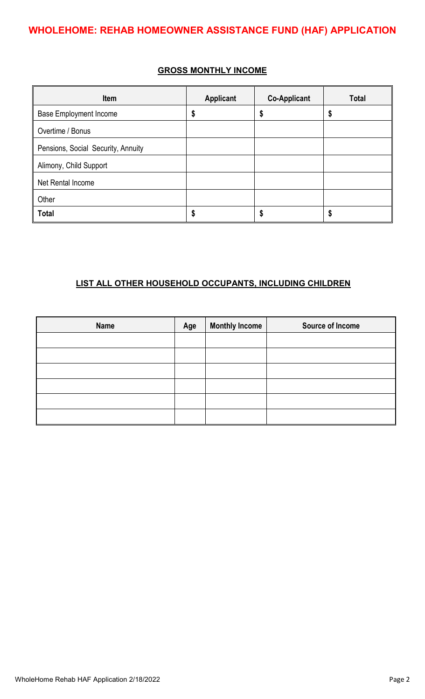## **GROSS MONTHLY INCOME**

| Item                               | <b>Applicant</b> | <b>Co-Applicant</b> | <b>Total</b> |
|------------------------------------|------------------|---------------------|--------------|
| <b>Base Employment Income</b>      | \$               | \$                  | S            |
| Overtime / Bonus                   |                  |                     |              |
| Pensions, Social Security, Annuity |                  |                     |              |
| Alimony, Child Support             |                  |                     |              |
| Net Rental Income                  |                  |                     |              |
| Other                              |                  |                     |              |
| <b>Total</b>                       | \$               | \$                  | S            |

## **LIST ALL OTHER HOUSEHOLD OCCUPANTS, INCLUDING CHILDREN**

| <b>Name</b> | Age | <b>Monthly Income</b> | Source of Income |
|-------------|-----|-----------------------|------------------|
|             |     |                       |                  |
|             |     |                       |                  |
|             |     |                       |                  |
|             |     |                       |                  |
|             |     |                       |                  |
|             |     |                       |                  |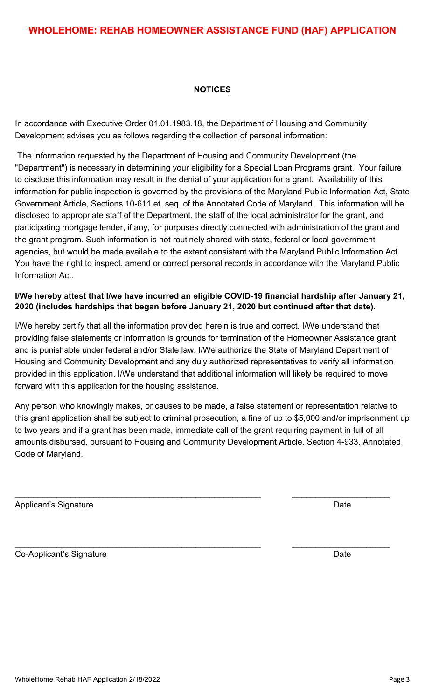### **NOTICES**

In accordance with Executive Order 01.01.1983.18, the Department of Housing and Community Development advises you as follows regarding the collection of personal information:

The information requested by the Department of Housing and Community Development (the "Department") is necessary in determining your eligibility for a Special Loan Programs grant. Your failure to disclose this information may result in the denial of your application for a grant. Availability of this information for public inspection is governed by the provisions of the Maryland Public Information Act, State Government Article, Sections 10-611 et. seq. of the Annotated Code of Maryland. This information will be disclosed to appropriate staff of the Department, the staff of the local administrator for the grant, and participating mortgage lender, if any, for purposes directly connected with administration of the grant and the grant program. Such information is not routinely shared with state, federal or local government agencies, but would be made available to the extent consistent with the Maryland Public Information Act. You have the right to inspect, amend or correct personal records in accordance with the Maryland Public Information Act.

# **I/We hereby attest that I/we have incurred an eligible COVID-19 financial hardship after January 21, 2020 (includes hardships that began before January 21, 2020 but continued after that date).**

I/We hereby certify that all the information provided herein is true and correct. I/We understand that providing false statements or information is grounds for termination of the Homeowner Assistance grant and is punishable under federal and/or State law. I/We authorize the State of Maryland Department of Housing and Community Development and any duly authorized representatives to verify all information provided in this application. I/We understand that additional information will likely be required to move forward with this application for the housing assistance.

Any person who knowingly makes, or causes to be made, a false statement or representation relative to this grant application shall be subject to criminal prosecution, a fine of up to \$5,000 and/or imprisonment up to two years and if a grant has been made, immediate call of the grant requiring payment in full of all amounts disbursed, pursuant to Housing and Community Development Article, Section 4-933, Annotated Code of Maryland.

\_\_\_\_\_\_\_\_\_\_\_\_\_\_\_\_\_\_\_\_\_\_\_\_\_\_\_\_\_\_\_\_\_\_\_\_\_\_\_\_\_\_\_\_\_\_\_\_\_\_\_\_\_ \_\_\_\_\_\_\_\_\_\_\_\_\_\_\_\_\_\_\_\_\_

\_\_\_\_\_\_\_\_\_\_\_\_\_\_\_\_\_\_\_\_\_\_\_\_\_\_\_\_\_\_\_\_\_\_\_\_\_\_\_\_\_\_\_\_\_\_\_\_\_\_\_\_\_ \_\_\_\_\_\_\_\_\_\_\_\_\_\_\_\_\_\_\_\_\_

Applicant's Signature Date Date Applicant's Signature Date Date Date Date Date

Co-Applicant's Signature Date Date Co-Applicant's Signature Date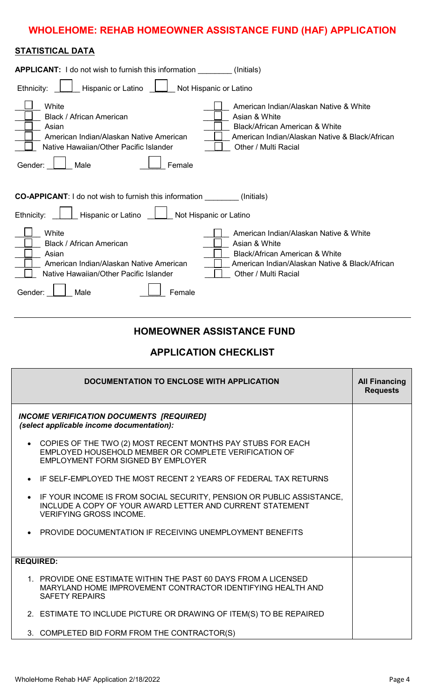# **WHOLEHOME: REHAB HOMEOWNER ASSISTANCE FUND (HAF) APPLICATION**

### **STATISTICAL DATA**

| <b>APPLICANT:</b> I do not wish to furnish this information                                                                                                  | (Initials)                                                                                                                                                          |
|--------------------------------------------------------------------------------------------------------------------------------------------------------------|---------------------------------------------------------------------------------------------------------------------------------------------------------------------|
| Hispanic or Latino<br>Ethnicity:                                                                                                                             | Not Hispanic or Latino                                                                                                                                              |
| White<br>Black / African American<br>Asian<br>American Indian/Alaskan Native American<br>Native Hawaiian/Other Pacific Islander<br>Male<br>Gender:<br>Female | American Indian/Alaskan Native & White<br>Asian & White<br>Black/African American & White<br>American Indian/Alaskan Native & Black/African<br>Other / Multi Racial |
| <b>CO-APPICANT:</b> I do not wish to furnish this information _________(Initials)                                                                            |                                                                                                                                                                     |
| Hispanic or Latino<br>Ethnicity:                                                                                                                             | Not Hispanic or Latino                                                                                                                                              |
| White<br>Black / African American<br>Asian<br>American Indian/Alaskan Native American<br>Native Hawaiian/Other Pacific Islander                              | American Indian/Alaskan Native & White<br>Asian & White<br>Black/African American & White<br>American Indian/Alaskan Native & Black/African<br>Other / Multi Racial |
| Gender:<br>Male<br>Female                                                                                                                                    |                                                                                                                                                                     |

# **HOMEOWNER ASSISTANCE FUND**

# **APPLICATION CHECKLIST**

|                  | DOCUMENTATION TO ENCLOSE WITH APPLICATION                                                                                                                            | <b>All Financing</b><br><b>Requests</b> |
|------------------|----------------------------------------------------------------------------------------------------------------------------------------------------------------------|-----------------------------------------|
|                  | <b>INCOME VERIFICATION DOCUMENTS [REQUIRED]</b><br>(select applicable income documentation):                                                                         |                                         |
|                  | • COPIES OF THE TWO (2) MOST RECENT MONTHS PAY STUBS FOR EACH<br>EMPLOYED HOUSEHOLD MEMBER OR COMPLETE VERIFICATION OF<br>EMPLOYMENT FORM SIGNED BY EMPLOYER         |                                         |
| $\bullet$        | IF SELF-EMPLOYED THE MOST RECENT 2 YEARS OF FEDERAL TAX RETURNS                                                                                                      |                                         |
|                  | IF YOUR INCOME IS FROM SOCIAL SECURITY, PENSION OR PUBLIC ASSISTANCE,<br>INCLUDE A COPY OF YOUR AWARD LETTER AND CURRENT STATEMENT<br><b>VERIFYING GROSS INCOME.</b> |                                         |
|                  | <b>PROVIDE DOCUMENTATION IF RECEIVING UNEMPLOYMENT BENEFITS</b>                                                                                                      |                                         |
| <b>REQUIRED:</b> |                                                                                                                                                                      |                                         |
|                  | 1. PROVIDE ONE ESTIMATE WITHIN THE PAST 60 DAYS FROM A LICENSED<br>MARYLAND HOME IMPROVEMENT CONTRACTOR IDENTIFYING HEALTH AND<br><b>SAFETY REPAIRS</b>              |                                         |
|                  | 2. ESTIMATE TO INCLUDE PICTURE OR DRAWING OF ITEM(S) TO BE REPAIRED                                                                                                  |                                         |
|                  | 3. COMPLETED BID FORM FROM THE CONTRACTOR(S)                                                                                                                         |                                         |